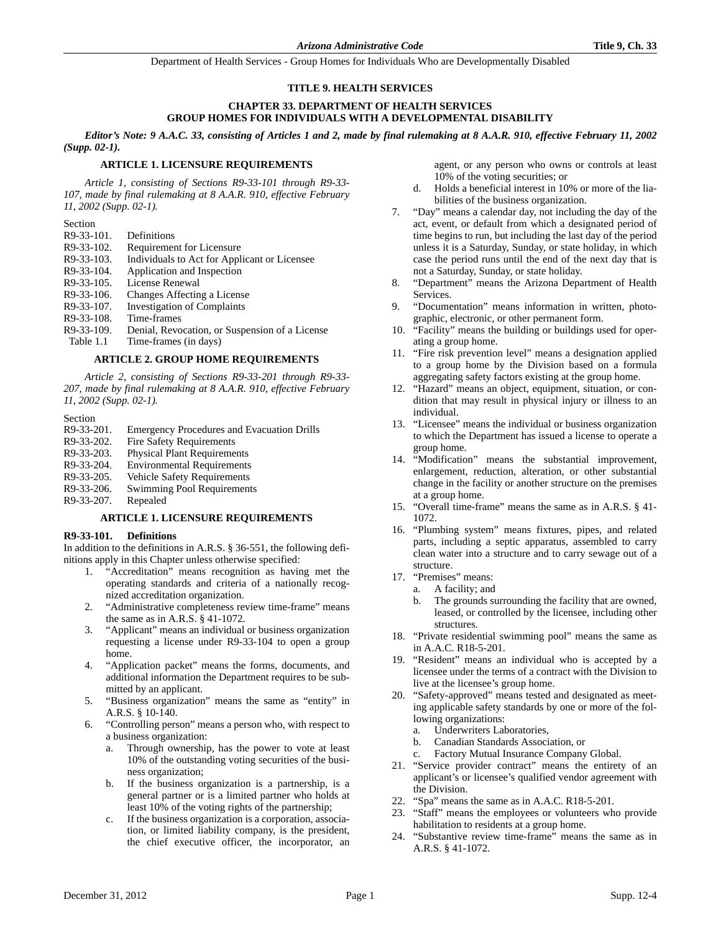## **TITLE 9. HEALTH SERVICES**

## **CHAPTER 33. DEPARTMENT OF HEALTH SERVICES GROUP HOMES FOR INDIVIDUALS WITH A DEVELOPMENTAL DISABILITY**

*Editor's Note: 9 A.A.C. 33, consisting of Articles 1 and 2, made by final rulemaking at 8 A.A.R. 910, effective February 11, 2002 (Supp. 02-1).*

## **ARTICLE 1. LICENSURE REQUIREMENTS**

*Article 1, consisting of Sections R9-33-101 through R9-33- 107, made by final rulemaking at 8 A.A.R. 910, effective February 11, 2002 (Supp. 02-1).*

#### Section

| R9-33-101. | Definitions                                    |
|------------|------------------------------------------------|
| R9-33-102. | Requirement for Licensure                      |
| R9-33-103. | Individuals to Act for Applicant or Licensee   |
| R9-33-104. | Application and Inspection                     |
| R9-33-105. | License Renewal                                |
| R9-33-106. | Changes Affecting a License                    |
| R9-33-107. | <b>Investigation of Complaints</b>             |
| R9-33-108. | Time-frames                                    |
| R9-33-109. | Denial, Revocation, or Suspension of a License |
| Table 1.1  | Time-frames (in days)                          |
|            |                                                |

#### **ARTICLE 2. GROUP HOME REQUIREMENTS**

*Article 2, consisting of Sections R9-33-201 through R9-33- 207, made by final rulemaking at 8 A.A.R. 910, effective February 11, 2002 (Supp. 02-1).*

Section

- R9-33-201. Emergency Procedures and Evacuation Drills
- R9-33-202. Fire Safety Requirements
- R9-33-203. Physical Plant Requirements
- R9-33-204. Environmental Requirements
- R9-33-205. Vehicle Safety Requirements
- R9-33-206. Swimming Pool Requirements
- R9-33-207. Repealed

## **ARTICLE 1. LICENSURE REQUIREMENTS**

## **R9-33-101. Definitions**

In addition to the definitions in A.R.S. § 36-551, the following definitions apply in this Chapter unless otherwise specified:

- 1. "Accreditation" means recognition as having met the operating standards and criteria of a nationally recognized accreditation organization.
- 2. "Administrative completeness review time-frame" means the same as in A.R.S. § 41-1072.
- 3. "Applicant" means an individual or business organization requesting a license under R9-33-104 to open a group home.
- 4. "Application packet" means the forms, documents, and additional information the Department requires to be submitted by an applicant.
- 5. "Business organization" means the same as "entity" in A.R.S. § 10-140.
- 6. "Controlling person" means a person who, with respect to a business organization:
	- a. Through ownership, has the power to vote at least 10% of the outstanding voting securities of the business organization;
	- b. If the business organization is a partnership, is a general partner or is a limited partner who holds at least 10% of the voting rights of the partnership;
	- c. If the business organization is a corporation, association, or limited liability company, is the president, the chief executive officer, the incorporator, an

agent, or any person who owns or controls at least 10% of the voting securities; or

- d. Holds a beneficial interest in 10% or more of the liabilities of the business organization.
- 7. "Day" means a calendar day, not including the day of the act, event, or default from which a designated period of time begins to run, but including the last day of the period unless it is a Saturday, Sunday, or state holiday, in which case the period runs until the end of the next day that is not a Saturday, Sunday, or state holiday.
- 8. "Department" means the Arizona Department of Health Services.
- 9. "Documentation" means information in written, photographic, electronic, or other permanent form.
- 10. "Facility" means the building or buildings used for operating a group home.
- 11. "Fire risk prevention level" means a designation applied to a group home by the Division based on a formula aggregating safety factors existing at the group home.
- 12. "Hazard" means an object, equipment, situation, or condition that may result in physical injury or illness to an individual.
- 13. "Licensee" means the individual or business organization to which the Department has issued a license to operate a group home.
- 14. "Modification" means the substantial improvement, enlargement, reduction, alteration, or other substantial change in the facility or another structure on the premises at a group home.
- 15. "Overall time-frame" means the same as in A.R.S. § 41- 1072.
- 16. "Plumbing system" means fixtures, pipes, and related parts, including a septic apparatus, assembled to carry clean water into a structure and to carry sewage out of a structure.
- 17. "Premises" means:
	- a. A facility; and
	- b. The grounds surrounding the facility that are owned, leased, or controlled by the licensee, including other structures.
- 18. "Private residential swimming pool" means the same as in A.A.C. R18-5-201.
- 19. "Resident" means an individual who is accepted by a licensee under the terms of a contract with the Division to live at the licensee's group home.
- 20. "Safety-approved" means tested and designated as meeting applicable safety standards by one or more of the following organizations:
	- a. Underwriters Laboratories,
	- b. Canadian Standards Association, or
	- c. Factory Mutual Insurance Company Global.
- 21. "Service provider contract" means the entirety of an applicant's or licensee's qualified vendor agreement with the Division.
- 22. "Spa" means the same as in A.A.C. R18-5-201.
- 23. "Staff" means the employees or volunteers who provide habilitation to residents at a group home.
- 24. "Substantive review time-frame" means the same as in A.R.S. § 41-1072.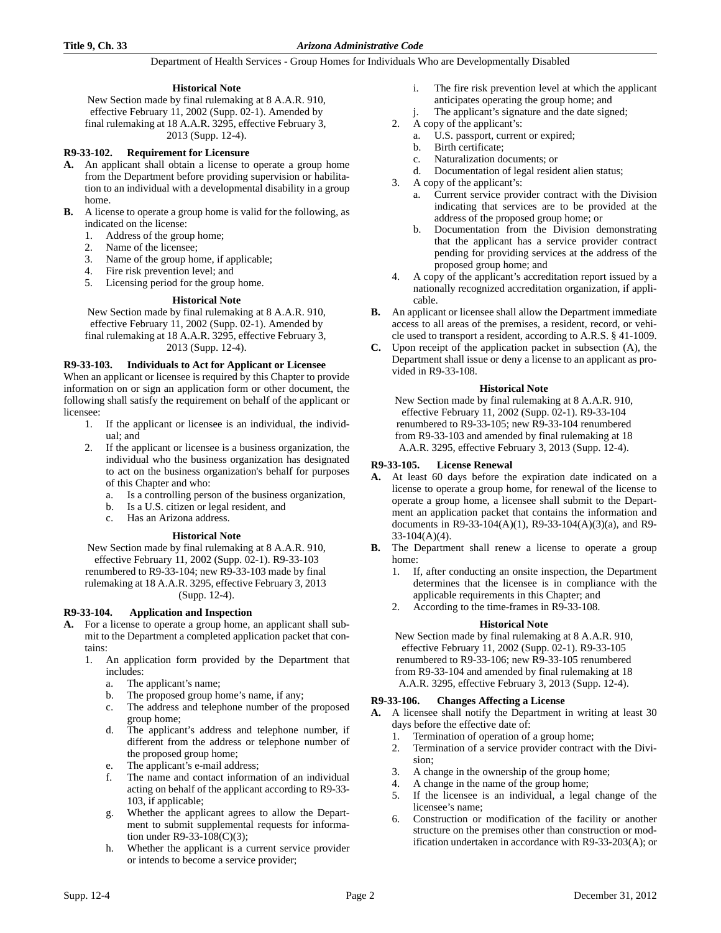# **Historical Note**

New Section made by final rulemaking at 8 A.A.R. 910, effective February 11, 2002 (Supp. 02-1). Amended by final rulemaking at 18 A.A.R. 3295, effective February 3, 2013 (Supp. 12-4).

## **R9-33-102. Requirement for Licensure**

- **A.** An applicant shall obtain a license to operate a group home from the Department before providing supervision or habilitation to an individual with a developmental disability in a group home.
- **B.** A license to operate a group home is valid for the following, as indicated on the license:
	- 1. Address of the group home;
	- 2. Name of the licensee;
	- 3. Name of the group home, if applicable;
	- 4. Fire risk prevention level; and
	- 5. Licensing period for the group home.

## **Historical Note**

New Section made by final rulemaking at 8 A.A.R. 910, effective February 11, 2002 (Supp. 02-1). Amended by final rulemaking at 18 A.A.R. 3295, effective February 3, 2013 (Supp. 12-4).

## **R9-33-103. Individuals to Act for Applicant or Licensee**

When an applicant or licensee is required by this Chapter to provide information on or sign an application form or other document, the following shall satisfy the requirement on behalf of the applicant or licensee:

- 1. If the applicant or licensee is an individual, the individual; and
- 2. If the applicant or licensee is a business organization, the individual who the business organization has designated to act on the business organization's behalf for purposes of this Chapter and who:
	- a. Is a controlling person of the business organization,
	- b. Is a U.S. citizen or legal resident, and
	- c. Has an Arizona address.

# **Historical Note**

New Section made by final rulemaking at 8 A.A.R. 910, effective February 11, 2002 (Supp. 02-1). R9-33-103 renumbered to R9-33-104; new R9-33-103 made by final rulemaking at 18 A.A.R. 3295, effective February 3, 2013 (Supp. 12-4).

## **R9-33-104. Application and Inspection**

- **A.** For a license to operate a group home, an applicant shall submit to the Department a completed application packet that contains:
	- 1. An application form provided by the Department that includes:
		- a. The applicant's name;
		- b. The proposed group home's name, if any;
		- c. The address and telephone number of the proposed group home;
		- d. The applicant's address and telephone number, if different from the address or telephone number of the proposed group home;
		- e. The applicant's e-mail address;
		- f. The name and contact information of an individual acting on behalf of the applicant according to R9-33- 103, if applicable;
		- g. Whether the applicant agrees to allow the Department to submit supplemental requests for information under R9-33-108(C)(3);
		- h. Whether the applicant is a current service provider or intends to become a service provider;
- i. The fire risk prevention level at which the applicant anticipates operating the group home; and
- j. The applicant's signature and the date signed;
- 2. A copy of the applicant's:
	- a. U.S. passport, current or expired;
	- b. Birth certificate;
		- c. Naturalization documents; or
	- d. Documentation of legal resident alien status;
- 3. A copy of the applicant's:
	- a. Current service provider contract with the Division indicating that services are to be provided at the address of the proposed group home; or
	- b. Documentation from the Division demonstrating that the applicant has a service provider contract pending for providing services at the address of the proposed group home; and
- 4. A copy of the applicant's accreditation report issued by a nationally recognized accreditation organization, if applicable.
- **B.** An applicant or licensee shall allow the Department immediate access to all areas of the premises, a resident, record, or vehicle used to transport a resident, according to A.R.S. § 41-1009.
- **C.** Upon receipt of the application packet in subsection (A), the Department shall issue or deny a license to an applicant as provided in R9-33-108.

## **Historical Note**

New Section made by final rulemaking at 8 A.A.R. 910, effective February 11, 2002 (Supp. 02-1). R9-33-104 renumbered to R9-33-105; new R9-33-104 renumbered from R9-33-103 and amended by final rulemaking at 18 A.A.R. 3295, effective February 3, 2013 (Supp. 12-4).

## **R9-33-105. License Renewal**

- **A.** At least 60 days before the expiration date indicated on a license to operate a group home, for renewal of the license to operate a group home, a licensee shall submit to the Department an application packet that contains the information and documents in R9-33-104(A)(1), R9-33-104(A)(3)(a), and R9- 33-104(A)(4).
- **B.** The Department shall renew a license to operate a group home:
	- 1. If, after conducting an onsite inspection, the Department determines that the licensee is in compliance with the applicable requirements in this Chapter; and
	- 2. According to the time-frames in R9-33-108.

## **Historical Note**

New Section made by final rulemaking at 8 A.A.R. 910, effective February 11, 2002 (Supp. 02-1). R9-33-105 renumbered to R9-33-106; new R9-33-105 renumbered from R9-33-104 and amended by final rulemaking at 18 A.A.R. 3295, effective February 3, 2013 (Supp. 12-4).

## **R9-33-106. Changes Affecting a License**

**A.** A licensee shall notify the Department in writing at least 30 days before the effective date of:

- 1. Termination of operation of a group home;
- 2. Termination of a service provider contract with the Division;
- 3. A change in the ownership of the group home;
- 4. A change in the name of the group home;
- 5. If the licensee is an individual, a legal change of the licensee's name;
- 6. Construction or modification of the facility or another structure on the premises other than construction or modification undertaken in accordance with R9-33-203(A); or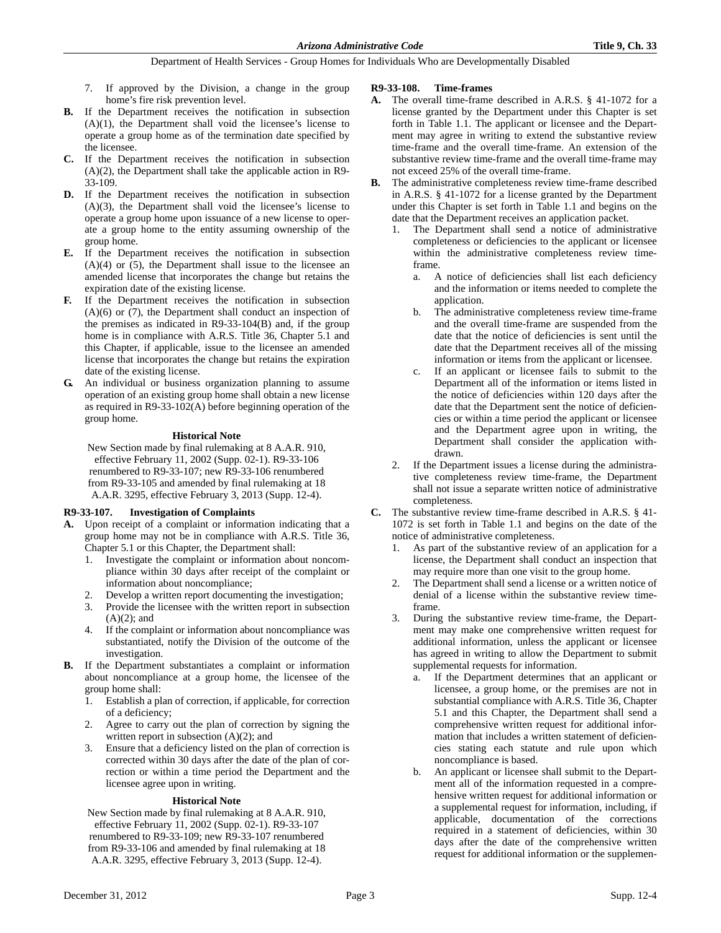- 7. If approved by the Division, a change in the group home's fire risk prevention level.
- **B.** If the Department receives the notification in subsection (A)(1), the Department shall void the licensee's license to operate a group home as of the termination date specified by the licensee.
- **C.** If the Department receives the notification in subsection  $(A)(2)$ , the Department shall take the applicable action in R9-33-109.
- **D.** If the Department receives the notification in subsection (A)(3), the Department shall void the licensee's license to operate a group home upon issuance of a new license to operate a group home to the entity assuming ownership of the group home.
- **E.** If the Department receives the notification in subsection  $(A)(4)$  or  $(5)$ , the Department shall issue to the licensee an amended license that incorporates the change but retains the expiration date of the existing license.
- **F.** If the Department receives the notification in subsection (A)(6) or (7), the Department shall conduct an inspection of the premises as indicated in R9-33-104(B) and, if the group home is in compliance with A.R.S. Title 36, Chapter 5.1 and this Chapter, if applicable, issue to the licensee an amended license that incorporates the change but retains the expiration date of the existing license.
- **G.** An individual or business organization planning to assume operation of an existing group home shall obtain a new license as required in R9-33-102(A) before beginning operation of the group home.

## **Historical Note**

New Section made by final rulemaking at 8 A.A.R. 910, effective February 11, 2002 (Supp. 02-1). R9-33-106 renumbered to R9-33-107; new R9-33-106 renumbered from R9-33-105 and amended by final rulemaking at 18 A.A.R. 3295, effective February 3, 2013 (Supp. 12-4).

# **R9-33-107. Investigation of Complaints**

- **A.** Upon receipt of a complaint or information indicating that a group home may not be in compliance with A.R.S. Title 36, Chapter 5.1 or this Chapter, the Department shall:
	- 1. Investigate the complaint or information about noncompliance within 30 days after receipt of the complaint or information about noncompliance;
	- 2. Develop a written report documenting the investigation;
	- 3. Provide the licensee with the written report in subsection  $(A)(2)$ ; and
	- 4. If the complaint or information about noncompliance was substantiated, notify the Division of the outcome of the investigation.
- **B.** If the Department substantiates a complaint or information about noncompliance at a group home, the licensee of the group home shall:
	- 1. Establish a plan of correction, if applicable, for correction of a deficiency;
	- 2. Agree to carry out the plan of correction by signing the written report in subsection  $(A)(2)$ ; and
	- 3. Ensure that a deficiency listed on the plan of correction is corrected within 30 days after the date of the plan of correction or within a time period the Department and the licensee agree upon in writing.

# **Historical Note**

New Section made by final rulemaking at 8 A.A.R. 910, effective February 11, 2002 (Supp. 02-1). R9-33-107 renumbered to R9-33-109; new R9-33-107 renumbered from R9-33-106 and amended by final rulemaking at 18 A.A.R. 3295, effective February 3, 2013 (Supp. 12-4).

## **R9-33-108. Time-frames**

- **A.** The overall time-frame described in A.R.S. § 41-1072 for a license granted by the Department under this Chapter is set forth in Table 1.1. The applicant or licensee and the Department may agree in writing to extend the substantive review time-frame and the overall time-frame. An extension of the substantive review time-frame and the overall time-frame may not exceed 25% of the overall time-frame.
- **B.** The administrative completeness review time-frame described in A.R.S. § 41-1072 for a license granted by the Department under this Chapter is set forth in Table 1.1 and begins on the date that the Department receives an application packet.
	- The Department shall send a notice of administrative completeness or deficiencies to the applicant or licensee within the administrative completeness review timeframe.
		- a. A notice of deficiencies shall list each deficiency and the information or items needed to complete the application.
		- b. The administrative completeness review time-frame and the overall time-frame are suspended from the date that the notice of deficiencies is sent until the date that the Department receives all of the missing information or items from the applicant or licensee.
		- c. If an applicant or licensee fails to submit to the Department all of the information or items listed in the notice of deficiencies within 120 days after the date that the Department sent the notice of deficiencies or within a time period the applicant or licensee and the Department agree upon in writing, the Department shall consider the application withdrawn.
	- 2. If the Department issues a license during the administrative completeness review time-frame, the Department shall not issue a separate written notice of administrative completeness.
- **C.** The substantive review time-frame described in A.R.S. § 41- 1072 is set forth in Table 1.1 and begins on the date of the notice of administrative completeness.
	- 1. As part of the substantive review of an application for a license, the Department shall conduct an inspection that may require more than one visit to the group home.
	- 2. The Department shall send a license or a written notice of denial of a license within the substantive review timeframe.
	- During the substantive review time-frame, the Department may make one comprehensive written request for additional information, unless the applicant or licensee has agreed in writing to allow the Department to submit supplemental requests for information.
		- a. If the Department determines that an applicant or licensee, a group home, or the premises are not in substantial compliance with A.R.S. Title 36, Chapter 5.1 and this Chapter, the Department shall send a comprehensive written request for additional information that includes a written statement of deficiencies stating each statute and rule upon which noncompliance is based.
		- b. An applicant or licensee shall submit to the Department all of the information requested in a comprehensive written request for additional information or a supplemental request for information, including, if applicable, documentation of the corrections required in a statement of deficiencies, within 30 days after the date of the comprehensive written request for additional information or the supplemen-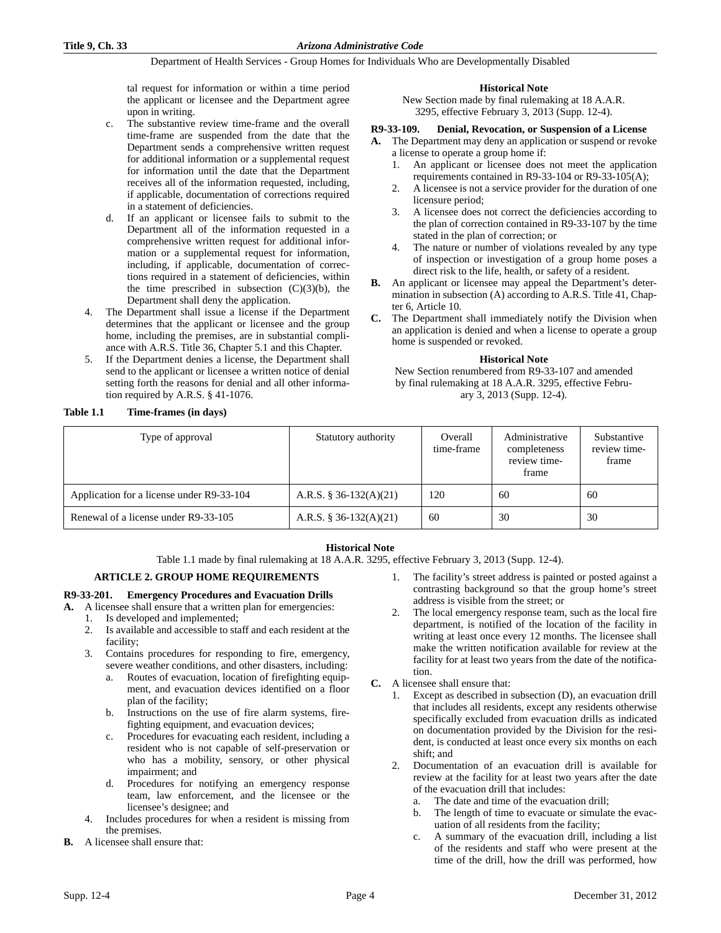tal request for information or within a time period the applicant or licensee and the Department agree upon in writing.

- c. The substantive review time-frame and the overall time-frame are suspended from the date that the Department sends a comprehensive written request for additional information or a supplemental request for information until the date that the Department receives all of the information requested, including, if applicable, documentation of corrections required in a statement of deficiencies.
- d. If an applicant or licensee fails to submit to the Department all of the information requested in a comprehensive written request for additional information or a supplemental request for information, including, if applicable, documentation of corrections required in a statement of deficiencies, within the time prescribed in subsection  $(C)(3)(b)$ , the Department shall deny the application.
- 4. The Department shall issue a license if the Department determines that the applicant or licensee and the group home, including the premises, are in substantial compliance with A.R.S. Title 36, Chapter 5.1 and this Chapter.
- 5. If the Department denies a license, the Department shall send to the applicant or licensee a written notice of denial setting forth the reasons for denial and all other information required by A.R.S. § 41-1076.

## **Table 1.1 Time-frames (in days)**

**Historical Note**

New Section made by final rulemaking at 18 A.A.R. 3295, effective February 3, 2013 (Supp. 12-4).

#### **R9-33-109. Denial, Revocation, or Suspension of a License**

**A.** The Department may deny an application or suspend or revoke a license to operate a group home if:

- 1. An applicant or licensee does not meet the application requirements contained in R9-33-104 or R9-33-105(A);
- 2. A licensee is not a service provider for the duration of one licensure period;
- 3. A licensee does not correct the deficiencies according to the plan of correction contained in R9-33-107 by the time stated in the plan of correction; or
- 4. The nature or number of violations revealed by any type of inspection or investigation of a group home poses a direct risk to the life, health, or safety of a resident.
- **B.** An applicant or licensee may appeal the Department's determination in subsection (A) according to A.R.S. Title 41, Chapter 6, Article 10.
- **C.** The Department shall immediately notify the Division when an application is denied and when a license to operate a group home is suspended or revoked.

#### **Historical Note**

New Section renumbered from R9-33-107 and amended by final rulemaking at 18 A.A.R. 3295, effective February 3, 2013 (Supp. 12-4).

| Type of approval                          | Statutory authority    | Overall<br>time-frame | Administrative<br>completeness<br>review time-<br>frame | Substantive<br>review time-<br>frame |
|-------------------------------------------|------------------------|-----------------------|---------------------------------------------------------|--------------------------------------|
| Application for a license under R9-33-104 | A.R.S. § 36-132(A)(21) | 120                   | 60                                                      | 60                                   |
| Renewal of a license under R9-33-105      | A.R.S. § 36-132(A)(21) | 60                    | 30                                                      | 30                                   |

# **Historical Note**

Table 1.1 made by final rulemaking at 18 A.A.R. 3295, effective February 3, 2013 (Supp. 12-4).

## **ARTICLE 2. GROUP HOME REQUIREMENTS**

## **R9-33-201. Emergency Procedures and Evacuation Drills**

- **A.** A licensee shall ensure that a written plan for emergencies:
	- 1. Is developed and implemented;
	- 2. Is available and accessible to staff and each resident at the facility;
	- 3. Contains procedures for responding to fire, emergency, severe weather conditions, and other disasters, including:
		- a. Routes of evacuation, location of firefighting equipment, and evacuation devices identified on a floor plan of the facility;
		- b. Instructions on the use of fire alarm systems, firefighting equipment, and evacuation devices;
		- c. Procedures for evacuating each resident, including a resident who is not capable of self-preservation or who has a mobility, sensory, or other physical impairment; and
		- d. Procedures for notifying an emergency response team, law enforcement, and the licensee or the licensee's designee; and
	- 4. Includes procedures for when a resident is missing from the premises.
- **B.** A licensee shall ensure that:
- The facility's street address is painted or posted against a contrasting background so that the group home's street address is visible from the street; or
- The local emergency response team, such as the local fire department, is notified of the location of the facility in writing at least once every 12 months. The licensee shall make the written notification available for review at the facility for at least two years from the date of the notification.
- **C.** A licensee shall ensure that:
	- 1. Except as described in subsection (D), an evacuation drill that includes all residents, except any residents otherwise specifically excluded from evacuation drills as indicated on documentation provided by the Division for the resident, is conducted at least once every six months on each shift; and
	- 2. Documentation of an evacuation drill is available for review at the facility for at least two years after the date of the evacuation drill that includes:
		- a. The date and time of the evacuation drill;
		- b. The length of time to evacuate or simulate the evacuation of all residents from the facility;
		- c. A summary of the evacuation drill, including a list of the residents and staff who were present at the time of the drill, how the drill was performed, how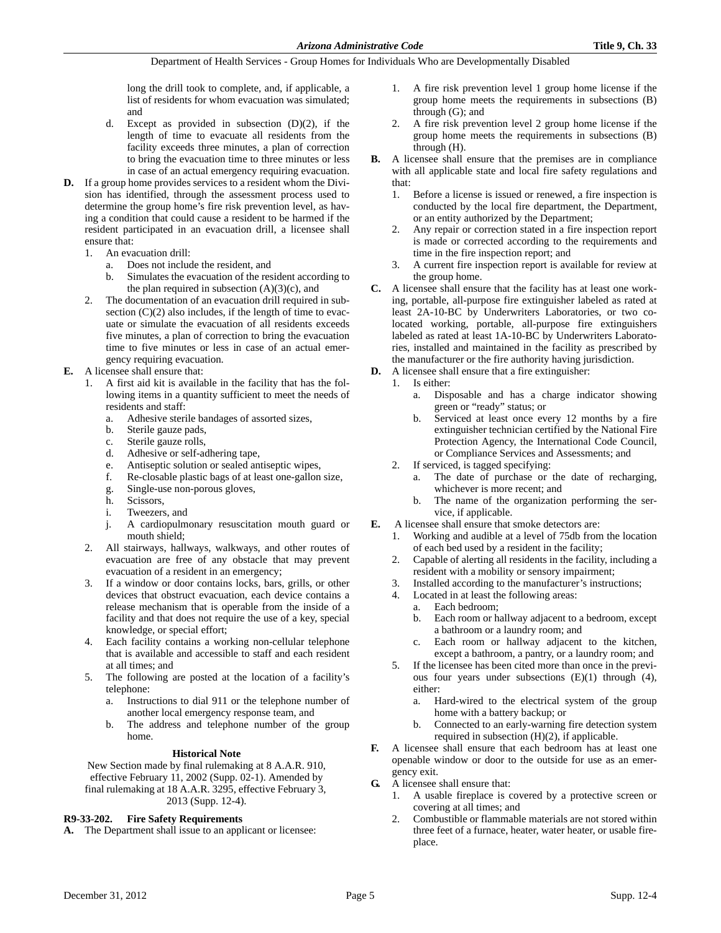long the drill took to complete, and, if applicable, a list of residents for whom evacuation was simulated; and

- d. Except as provided in subsection (D)(2), if the length of time to evacuate all residents from the facility exceeds three minutes, a plan of correction to bring the evacuation time to three minutes or less in case of an actual emergency requiring evacuation.
- **D.** If a group home provides services to a resident whom the Division has identified, through the assessment process used to determine the group home's fire risk prevention level, as having a condition that could cause a resident to be harmed if the resident participated in an evacuation drill, a licensee shall ensure that:
	- 1. An evacuation drill:
		- a. Does not include the resident, and
		- b. Simulates the evacuation of the resident according to the plan required in subsection  $(A)(3)(c)$ , and
	- 2. The documentation of an evacuation drill required in subsection  $(C)(2)$  also includes, if the length of time to evacuate or simulate the evacuation of all residents exceeds five minutes, a plan of correction to bring the evacuation time to five minutes or less in case of an actual emergency requiring evacuation.
- **E.** A licensee shall ensure that:
	- 1. A first aid kit is available in the facility that has the following items in a quantity sufficient to meet the needs of residents and staff:
		- a. Adhesive sterile bandages of assorted sizes,
		- b. Sterile gauze pads,
		- c. Sterile gauze rolls,
		- d. Adhesive or self-adhering tape,
		- e. Antiseptic solution or sealed antiseptic wipes,
		- f. Re-closable plastic bags of at least one-gallon size,
		- g. Single-use non-porous gloves,
		- h. Scissors,
		- i. Tweezers, and
		- j. A cardiopulmonary resuscitation mouth guard or mouth shield;
	- 2. All stairways, hallways, walkways, and other routes of evacuation are free of any obstacle that may prevent evacuation of a resident in an emergency;
	- 3. If a window or door contains locks, bars, grills, or other devices that obstruct evacuation, each device contains a release mechanism that is operable from the inside of a facility and that does not require the use of a key, special knowledge, or special effort;
	- 4. Each facility contains a working non-cellular telephone that is available and accessible to staff and each resident at all times; and
	- The following are posted at the location of a facility's telephone:
		- a. Instructions to dial 911 or the telephone number of another local emergency response team, and
		- b. The address and telephone number of the group home.

# **Historical Note**

New Section made by final rulemaking at 8 A.A.R. 910, effective February 11, 2002 (Supp. 02-1). Amended by final rulemaking at 18 A.A.R. 3295, effective February 3, 2013 (Supp. 12-4).

# **R9-33-202. Fire Safety Requirements**

**A.** The Department shall issue to an applicant or licensee:

- 1. A fire risk prevention level 1 group home license if the group home meets the requirements in subsections (B) through (G); and
- 2. A fire risk prevention level 2 group home license if the group home meets the requirements in subsections (B) through (H).
- **B.** A licensee shall ensure that the premises are in compliance with all applicable state and local fire safety regulations and that:
	- 1. Before a license is issued or renewed, a fire inspection is conducted by the local fire department, the Department, or an entity authorized by the Department;
	- 2. Any repair or correction stated in a fire inspection report is made or corrected according to the requirements and time in the fire inspection report; and
	- 3. A current fire inspection report is available for review at the group home.
- **C.** A licensee shall ensure that the facility has at least one working, portable, all-purpose fire extinguisher labeled as rated at least 2A-10-BC by Underwriters Laboratories, or two colocated working, portable, all-purpose fire extinguishers labeled as rated at least 1A-10-BC by Underwriters Laboratories, installed and maintained in the facility as prescribed by the manufacturer or the fire authority having jurisdiction.
- **D.** A licensee shall ensure that a fire extinguisher:
	- 1. Is either:
		- a. Disposable and has a charge indicator showing green or "ready" status; or
		- b. Serviced at least once every 12 months by a fire extinguisher technician certified by the National Fire Protection Agency, the International Code Council, or Compliance Services and Assessments; and
		- 2. If serviced, is tagged specifying:
			- a. The date of purchase or the date of recharging, whichever is more recent; and
			- b. The name of the organization performing the service, if applicable.
- **E.** A licensee shall ensure that smoke detectors are:
	- 1. Working and audible at a level of 75db from the location of each bed used by a resident in the facility;
	- 2. Capable of alerting all residents in the facility, including a resident with a mobility or sensory impairment;
	- 3. Installed according to the manufacturer's instructions;
	- 4. Located in at least the following areas:
		- a. Each bedroom;
		- b. Each room or hallway adjacent to a bedroom, except a bathroom or a laundry room; and
		- c. Each room or hallway adjacent to the kitchen, except a bathroom, a pantry, or a laundry room; and
	- 5. If the licensee has been cited more than once in the previous four years under subsections (E)(1) through (4), either:
		- a. Hard-wired to the electrical system of the group home with a battery backup; or
		- b. Connected to an early-warning fire detection system required in subsection (H)(2), if applicable.
- **F.** A licensee shall ensure that each bedroom has at least one openable window or door to the outside for use as an emergency exit.
- **G.** A licensee shall ensure that:
	- 1. A usable fireplace is covered by a protective screen or covering at all times; and
	- 2. Combustible or flammable materials are not stored within three feet of a furnace, heater, water heater, or usable fireplace.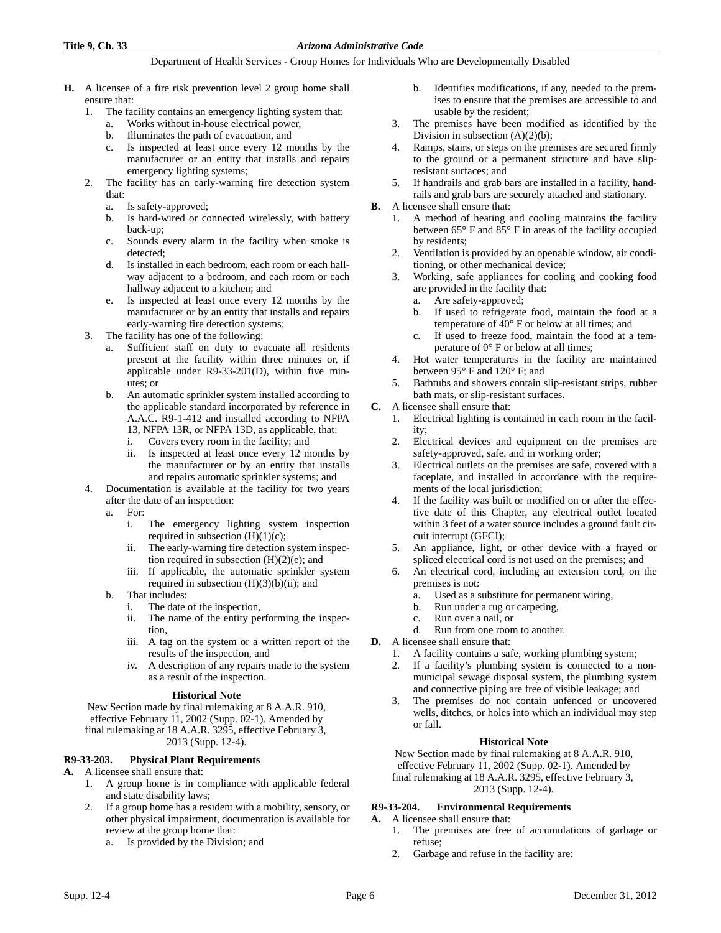- **H.** A licensee of a fire risk prevention level 2 group home shall ensure that:
	- 1. The facility contains an emergency lighting system that:
		- a. Works without in-house electrical power, b. Illuminates the path of evacuation, and
		- c. Is inspected at least once every 12 months by the manufacturer or an entity that installs and repairs emergency lighting systems;
	- 2. The facility has an early-warning fire detection system that:
		- a. Is safety-approved;
		- b. Is hard-wired or connected wirelessly, with battery back-up;
		- c. Sounds every alarm in the facility when smoke is detected;
		- d. Is installed in each bedroom, each room or each hallway adjacent to a bedroom, and each room or each hallway adjacent to a kitchen; and
		- e. Is inspected at least once every 12 months by the manufacturer or by an entity that installs and repairs early-warning fire detection systems;
	- 3. The facility has one of the following:
		- Sufficient staff on duty to evacuate all residents present at the facility within three minutes or, if applicable under R9-33-201(D), within five minutes; or
		- b. An automatic sprinkler system installed according to the applicable standard incorporated by reference in A.A.C. R9-1-412 and installed according to NFPA 13, NFPA 13R, or NFPA 13D, as applicable, that:
			- i. Covers every room in the facility; and
			- ii. Is inspected at least once every 12 months by the manufacturer or by an entity that installs and repairs automatic sprinkler systems; and
	- 4. Documentation is available at the facility for two years after the date of an inspection:

a. For:

- i. The emergency lighting system inspection required in subsection  $(H)(1)(c)$ ;
- ii. The early-warning fire detection system inspection required in subsection  $(H)(2)(e)$ ; and
- iii. If applicable, the automatic sprinkler system required in subsection  $(H)(3)(b)(ii)$ ; and
- b. That includes:
	- i. The date of the inspection,
	- ii. The name of the entity performing the inspection,
	- iii. A tag on the system or a written report of the results of the inspection, and
	- iv. A description of any repairs made to the system as a result of the inspection.

## **Historical Note**

New Section made by final rulemaking at 8 A.A.R. 910, effective February 11, 2002 (Supp. 02-1). Amended by final rulemaking at 18 A.A.R. 3295, effective February 3, 2013 (Supp. 12-4).

# **R9-33-203. Physical Plant Requirements**

## **A.** A licensee shall ensure that:

- 1. A group home is in compliance with applicable federal and state disability laws;
- 2. If a group home has a resident with a mobility, sensory, or other physical impairment, documentation is available for review at the group home that:
	- a. Is provided by the Division; and
- b. Identifies modifications, if any, needed to the premises to ensure that the premises are accessible to and usable by the resident;
- 3. The premises have been modified as identified by the Division in subsection (A)(2)(b);
- 4. Ramps, stairs, or steps on the premises are secured firmly to the ground or a permanent structure and have slipresistant surfaces; and
- 5. If handrails and grab bars are installed in a facility, handrails and grab bars are securely attached and stationary.
- **B.** A licensee shall ensure that:
	- 1. A method of heating and cooling maintains the facility between 65° F and 85° F in areas of the facility occupied by residents;
	- 2. Ventilation is provided by an openable window, air conditioning, or other mechanical device;
	- 3. Working, safe appliances for cooling and cooking food are provided in the facility that:
		- a. Are safety-approved;
		- b. If used to refrigerate food, maintain the food at a temperature of 40° F or below at all times; and
		- c. If used to freeze food, maintain the food at a temperature of 0° F or below at all times;
	- 4. Hot water temperatures in the facility are maintained between 95° F and 120° F; and
	- 5. Bathtubs and showers contain slip-resistant strips, rubber bath mats, or slip-resistant surfaces.
- **C.** A licensee shall ensure that:
	- 1. Electrical lighting is contained in each room in the facility;
	- 2. Electrical devices and equipment on the premises are safety-approved, safe, and in working order;
	- Electrical outlets on the premises are safe, covered with a faceplate, and installed in accordance with the requirements of the local jurisdiction;
	- 4. If the facility was built or modified on or after the effective date of this Chapter, any electrical outlet located within 3 feet of a water source includes a ground fault circuit interrupt (GFCI);
	- 5. An appliance, light, or other device with a frayed or spliced electrical cord is not used on the premises; and
	- 6. An electrical cord, including an extension cord, on the premises is not:
		- a. Used as a substitute for permanent wiring,
		- b. Run under a rug or carpeting,
		- c. Run over a nail, or
		- d. Run from one room to another.
- **D.** A licensee shall ensure that:
	- 1. A facility contains a safe, working plumbing system;
	- If a facility's plumbing system is connected to a nonmunicipal sewage disposal system, the plumbing system and connective piping are free of visible leakage; and
	- 3. The premises do not contain unfenced or uncovered wells, ditches, or holes into which an individual may step or fall.

## **Historical Note**

New Section made by final rulemaking at 8 A.A.R. 910, effective February 11, 2002 (Supp. 02-1). Amended by final rulemaking at 18 A.A.R. 3295, effective February 3, 2013 (Supp. 12-4).

# **R9-33-204. Environmental Requirements**

- **A.** A licensee shall ensure that:
	- 1. The premises are free of accumulations of garbage or refuse;
	- 2. Garbage and refuse in the facility are: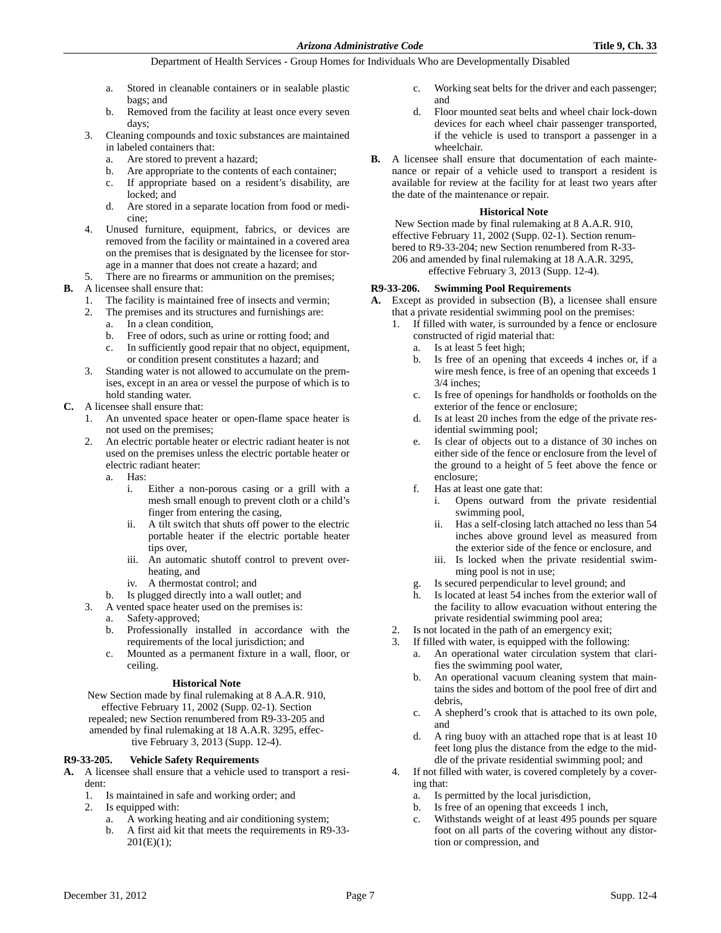- a. Stored in cleanable containers or in sealable plastic bags; and
- b. Removed from the facility at least once every seven days;
- 3. Cleaning compounds and toxic substances are maintained in labeled containers that:
	- a. Are stored to prevent a hazard;
	- b. Are appropriate to the contents of each container;
	- c. If appropriate based on a resident's disability, are locked; and
	- d. Are stored in a separate location from food or medicine;
- Unused furniture, equipment, fabrics, or devices are removed from the facility or maintained in a covered area on the premises that is designated by the licensee for storage in a manner that does not create a hazard; and

#### 5. There are no firearms or ammunition on the premises; **B.** A licensee shall ensure that:

- 1. The facility is maintained free of insects and vermin;
- 2. The premises and its structures and furnishings are:
	- a. In a clean condition,
	- b. Free of odors, such as urine or rotting food; and
	- c. In sufficiently good repair that no object, equipment, or condition present constitutes a hazard; and
- 3. Standing water is not allowed to accumulate on the premises, except in an area or vessel the purpose of which is to hold standing water.
- **C.** A licensee shall ensure that:
	- 1. An unvented space heater or open-flame space heater is not used on the premises;
	- 2. An electric portable heater or electric radiant heater is not used on the premises unless the electric portable heater or electric radiant heater:
		- a. Has:
			- i. Either a non-porous casing or a grill with a mesh small enough to prevent cloth or a child's finger from entering the casing,
			- ii. A tilt switch that shuts off power to the electric portable heater if the electric portable heater tips over,
			- iii. An automatic shutoff control to prevent overheating, and
			- iv. A thermostat control; and
		- b. Is plugged directly into a wall outlet; and
	- 3. A vented space heater used on the premises is:
		- a. Safety-approved;
		- b. Professionally installed in accordance with the requirements of the local jurisdiction; and
		- c. Mounted as a permanent fixture in a wall, floor, or ceiling.

# **Historical Note**

New Section made by final rulemaking at 8 A.A.R. 910, effective February 11, 2002 (Supp. 02-1). Section repealed; new Section renumbered from R9-33-205 and amended by final rulemaking at 18 A.A.R. 3295, effective February 3, 2013 (Supp. 12-4).

# **R9-33-205. Vehicle Safety Requirements**

**A.** A licensee shall ensure that a vehicle used to transport a resident:<br> $\frac{1}{1}$ .

- 1. Is maintained in safe and working order; and
- 2. Is equipped with:
	- a. A working heating and air conditioning system;
	- b. A first aid kit that meets the requirements in R9-33-  $201(E)(1);$
- c. Working seat belts for the driver and each passenger; and
- d. Floor mounted seat belts and wheel chair lock-down devices for each wheel chair passenger transported, if the vehicle is used to transport a passenger in a wheelchair.
- **B.** A licensee shall ensure that documentation of each maintenance or repair of a vehicle used to transport a resident is available for review at the facility for at least two years after the date of the maintenance or repair.

#### **Historical Note**

New Section made by final rulemaking at 8 A.A.R. 910, effective February 11, 2002 (Supp. 02-1). Section renumbered to R9-33-204; new Section renumbered from R-33- 206 and amended by final rulemaking at 18 A.A.R. 3295, effective February 3, 2013 (Supp. 12-4).

## **R9-33-206. Swimming Pool Requirements**

**A.** Except as provided in subsection (B), a licensee shall ensure that a private residential swimming pool on the premises:

- 1. If filled with water, is surrounded by a fence or enclosure constructed of rigid material that:
	- a. Is at least 5 feet high;
	- b. Is free of an opening that exceeds 4 inches or, if a wire mesh fence, is free of an opening that exceeds 1 3/4 inches;
	- c. Is free of openings for handholds or footholds on the exterior of the fence or enclosure;
	- d. Is at least 20 inches from the edge of the private residential swimming pool;
	- e. Is clear of objects out to a distance of 30 inches on either side of the fence or enclosure from the level of the ground to a height of 5 feet above the fence or enclosure;
	- f. Has at least one gate that:
		- i. Opens outward from the private residential swimming pool,
		- ii. Has a self-closing latch attached no less than 54 inches above ground level as measured from the exterior side of the fence or enclosure, and
		- iii. Is locked when the private residential swimming pool is not in use;
	- g. Is secured perpendicular to level ground; and
	- h. Is located at least 54 inches from the exterior wall of the facility to allow evacuation without entering the private residential swimming pool area;
- 2. Is not located in the path of an emergency exit;
- 3. If filled with water, is equipped with the following:
	- a. An operational water circulation system that clarifies the swimming pool water,
	- b. An operational vacuum cleaning system that maintains the sides and bottom of the pool free of dirt and debris,
	- c. A shepherd's crook that is attached to its own pole, and
	- d. A ring buoy with an attached rope that is at least 10 feet long plus the distance from the edge to the middle of the private residential swimming pool; and
- 4. If not filled with water, is covered completely by a covering that:
	- a. Is permitted by the local jurisdiction,
	- b. Is free of an opening that exceeds 1 inch,
	- c. Withstands weight of at least 495 pounds per square foot on all parts of the covering without any distortion or compression, and